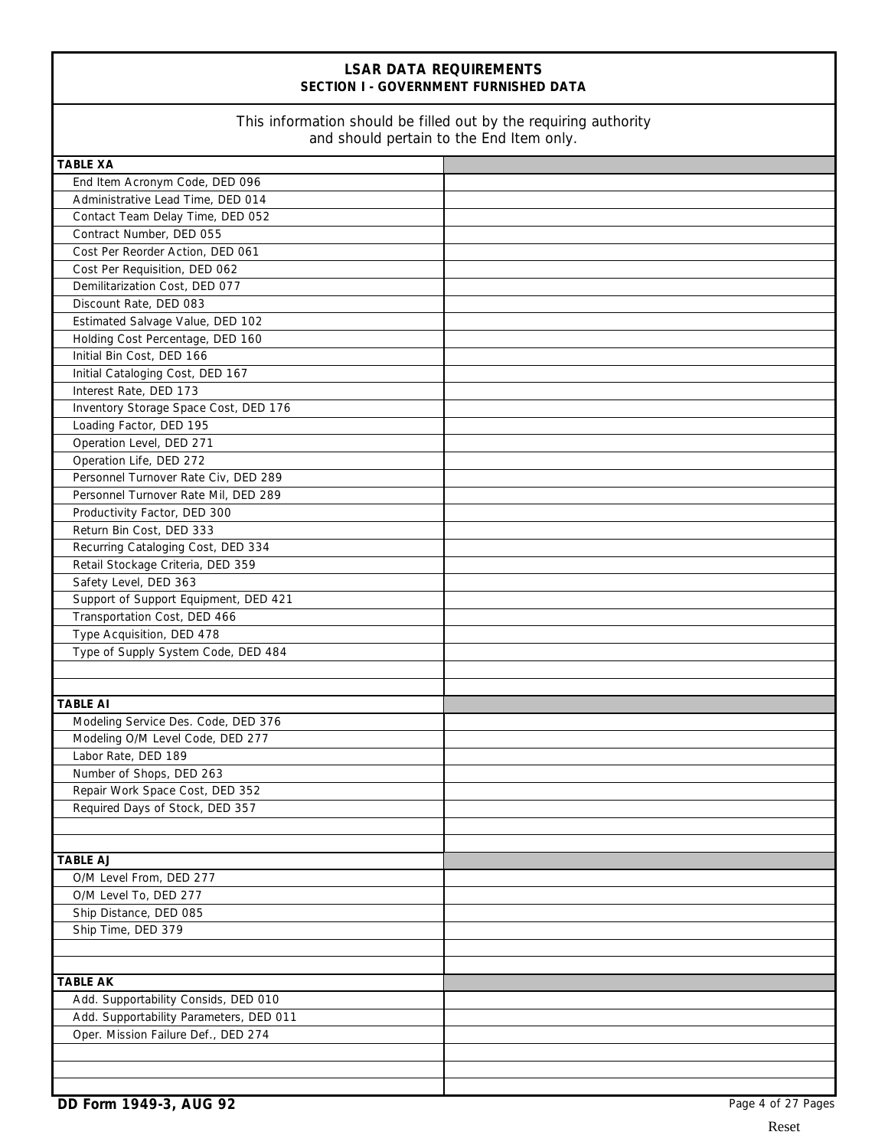## **LSAR DATA REQUIREMENTS SECTION I - GOVERNMENT FURNISHED DATA**

### This information should be filled out by the requiring authority and should pertain to the End Item only.

| and should pertain to the End Item only. |  |  |
|------------------------------------------|--|--|
| <b>TABLE XA</b>                          |  |  |
| End Item Acronym Code, DED 096           |  |  |
| Administrative Lead Time, DED 014        |  |  |
| Contact Team Delay Time, DED 052         |  |  |
| Contract Number, DED 055                 |  |  |
| Cost Per Reorder Action, DED 061         |  |  |
| Cost Per Requisition, DED 062            |  |  |
| Demilitarization Cost, DED 077           |  |  |
| Discount Rate, DED 083                   |  |  |
| Estimated Salvage Value, DED 102         |  |  |
| Holding Cost Percentage, DED 160         |  |  |
| Initial Bin Cost, DED 166                |  |  |
| Initial Cataloging Cost, DED 167         |  |  |
| Interest Rate, DED 173                   |  |  |
| Inventory Storage Space Cost, DED 176    |  |  |
| Loading Factor, DED 195                  |  |  |
| Operation Level, DED 271                 |  |  |
| Operation Life, DED 272                  |  |  |
| Personnel Turnover Rate Civ, DED 289     |  |  |
| Personnel Turnover Rate Mil, DED 289     |  |  |
| Productivity Factor, DED 300             |  |  |
| Return Bin Cost, DED 333                 |  |  |
| Recurring Cataloging Cost, DED 334       |  |  |
| Retail Stockage Criteria, DED 359        |  |  |
| Safety Level, DED 363                    |  |  |
| Support of Support Equipment, DED 421    |  |  |
| Transportation Cost, DED 466             |  |  |
| Type Acquisition, DED 478                |  |  |
| Type of Supply System Code, DED 484      |  |  |
|                                          |  |  |
| <b>TABLE AI</b>                          |  |  |
| Modeling Service Des. Code, DED 376      |  |  |
| Modeling O/M Level Code, DED 277         |  |  |
| Labor Rate, DED 189                      |  |  |
| Number of Shops, DED 263                 |  |  |
| Repair Work Space Cost, DED 352          |  |  |
| Required Days of Stock, DED 357          |  |  |
|                                          |  |  |
|                                          |  |  |
| <b>TABLE AJ</b>                          |  |  |
| O/M Level From, DED 277                  |  |  |
| O/M Level To, DED 277                    |  |  |
| Ship Distance, DED 085                   |  |  |
| Ship Time, DED 379                       |  |  |
|                                          |  |  |
|                                          |  |  |
| <b>TABLE AK</b>                          |  |  |
| Add. Supportability Consids, DED 010     |  |  |
| Add. Supportability Parameters, DED 011  |  |  |
| Oper. Mission Failure Def., DED 274      |  |  |
|                                          |  |  |
|                                          |  |  |
|                                          |  |  |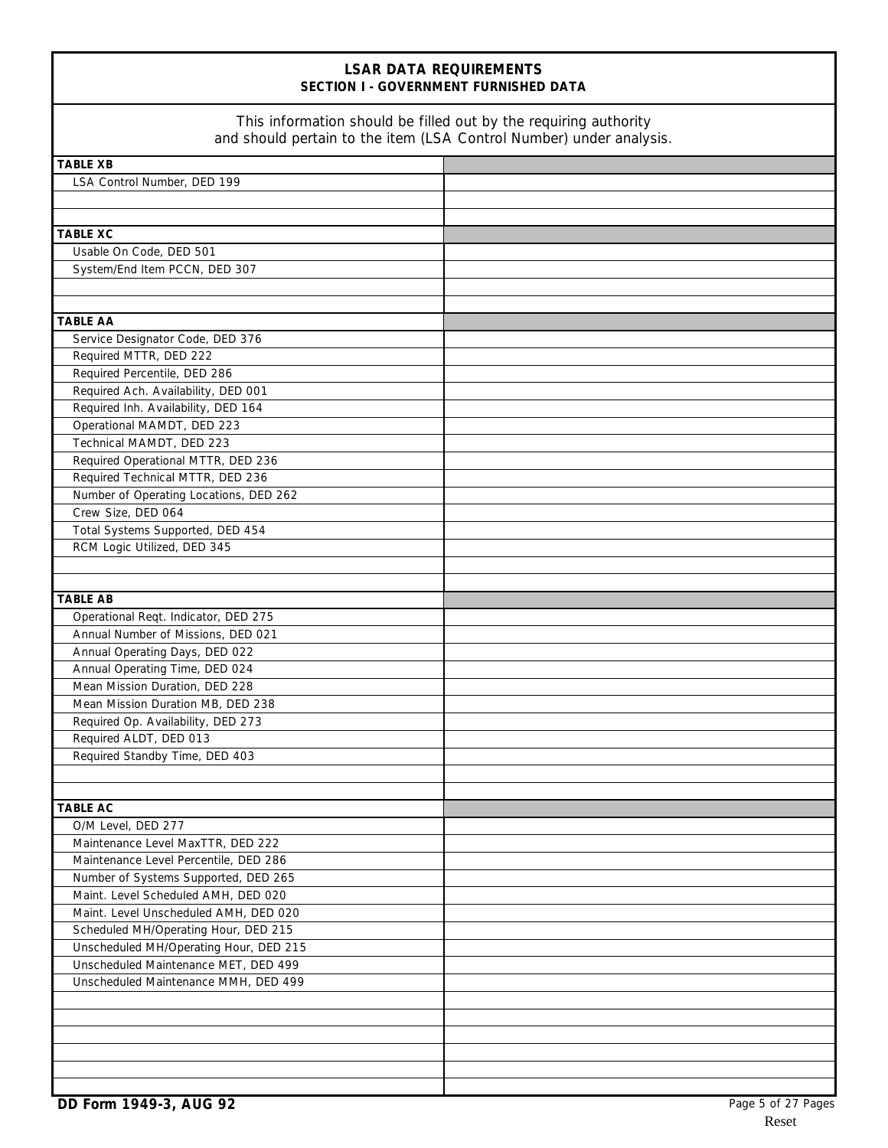| <b>LSAR DATA REQUIREMENTS</b><br>SECTION I - GOVERNMENT FURNISHED DATA<br>This information should be filled out by the requiring authority<br>and should pertain to the item (LSA Control Number) under analysis. |  |  |
|-------------------------------------------------------------------------------------------------------------------------------------------------------------------------------------------------------------------|--|--|
|                                                                                                                                                                                                                   |  |  |
| LSA Control Number, DED 199                                                                                                                                                                                       |  |  |
|                                                                                                                                                                                                                   |  |  |
|                                                                                                                                                                                                                   |  |  |
| <b>TABLE XC</b>                                                                                                                                                                                                   |  |  |
| Usable On Code, DED 501                                                                                                                                                                                           |  |  |
| System/End Item PCCN, DED 307                                                                                                                                                                                     |  |  |
|                                                                                                                                                                                                                   |  |  |
| <b>TABLE AA</b>                                                                                                                                                                                                   |  |  |
| Service Designator Code, DED 376                                                                                                                                                                                  |  |  |
| Required MTTR, DED 222                                                                                                                                                                                            |  |  |
| Required Percentile, DED 286                                                                                                                                                                                      |  |  |
| Required Ach. Availability, DED 001                                                                                                                                                                               |  |  |
| Required Inh. Availability, DED 164                                                                                                                                                                               |  |  |
| Operational MAMDT, DED 223                                                                                                                                                                                        |  |  |
| Technical MAMDT, DED 223                                                                                                                                                                                          |  |  |
| Required Operational MTTR, DED 236                                                                                                                                                                                |  |  |
| Required Technical MTTR, DED 236                                                                                                                                                                                  |  |  |
| Number of Operating Locations, DED 262<br>Crew Size, DED 064                                                                                                                                                      |  |  |
| Total Systems Supported, DED 454                                                                                                                                                                                  |  |  |
| RCM Logic Utilized, DED 345                                                                                                                                                                                       |  |  |
|                                                                                                                                                                                                                   |  |  |
|                                                                                                                                                                                                                   |  |  |
| <b>TABLE AB</b>                                                                                                                                                                                                   |  |  |
| Operational Reqt. Indicator, DED 275                                                                                                                                                                              |  |  |
| Annual Number of Missions, DED 021                                                                                                                                                                                |  |  |
| Annual Operating Days, DED 022                                                                                                                                                                                    |  |  |
| Annual Operating Time, DED 024                                                                                                                                                                                    |  |  |
| Mean Mission Duration, DED 228                                                                                                                                                                                    |  |  |
| Mean Mission Duration MB, DED 238                                                                                                                                                                                 |  |  |
| Required Op. Availability, DED 273<br>Required ALDT, DED 013                                                                                                                                                      |  |  |
| Required Standby Time, DED 403                                                                                                                                                                                    |  |  |
|                                                                                                                                                                                                                   |  |  |
|                                                                                                                                                                                                                   |  |  |
| <b>TABLE AC</b>                                                                                                                                                                                                   |  |  |
| O/M Level, DED 277                                                                                                                                                                                                |  |  |
| Maintenance Level MaxTTR, DED 222                                                                                                                                                                                 |  |  |
| Maintenance Level Percentile, DED 286                                                                                                                                                                             |  |  |
| Number of Systems Supported, DED 265                                                                                                                                                                              |  |  |
| Maint. Level Scheduled AMH, DED 020                                                                                                                                                                               |  |  |
| Maint. Level Unscheduled AMH, DED 020                                                                                                                                                                             |  |  |
| Scheduled MH/Operating Hour, DED 215                                                                                                                                                                              |  |  |
| Unscheduled MH/Operating Hour, DED 215<br>Unscheduled Maintenance MET, DED 499                                                                                                                                    |  |  |
| Unscheduled Maintenance MMH, DED 499                                                                                                                                                                              |  |  |
|                                                                                                                                                                                                                   |  |  |
|                                                                                                                                                                                                                   |  |  |
|                                                                                                                                                                                                                   |  |  |
|                                                                                                                                                                                                                   |  |  |
|                                                                                                                                                                                                                   |  |  |
|                                                                                                                                                                                                                   |  |  |

Г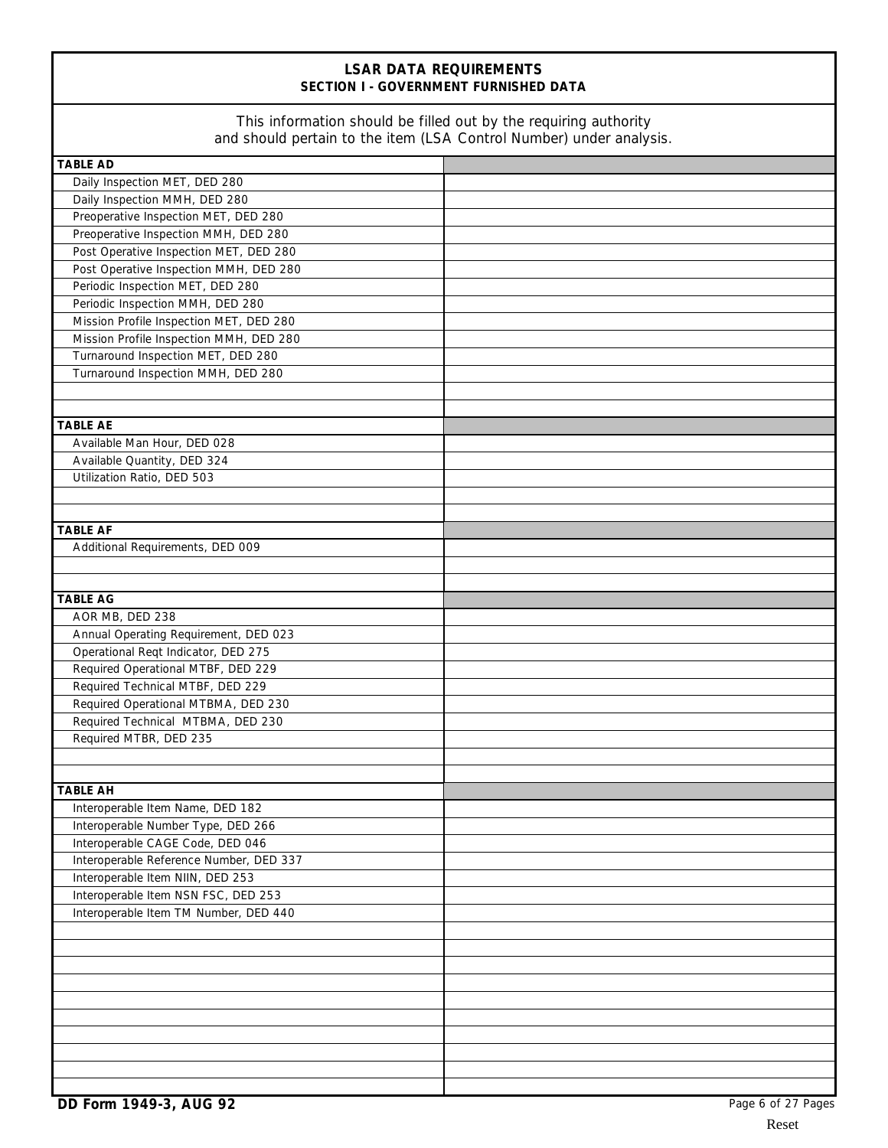## **LSAR DATA REQUIREMENTS SECTION I - GOVERNMENT FURNISHED DATA**

### This information should be filled out by the requiring authority and should pertain to the item (LSA Control Number) under analysis.

| and should pertain to the item (LSA Control Number) under analysis. |  |
|---------------------------------------------------------------------|--|
| <b>TABLE AD</b>                                                     |  |
| Daily Inspection MET, DED 280                                       |  |
| Daily Inspection MMH, DED 280                                       |  |
| Preoperative Inspection MET, DED 280                                |  |
| Preoperative Inspection MMH, DED 280                                |  |
| Post Operative Inspection MET, DED 280                              |  |
| Post Operative Inspection MMH, DED 280                              |  |
| Periodic Inspection MET, DED 280                                    |  |
| Periodic Inspection MMH, DED 280                                    |  |
| Mission Profile Inspection MET, DED 280                             |  |
| Mission Profile Inspection MMH, DED 280                             |  |
| Turnaround Inspection MET, DED 280                                  |  |
| Turnaround Inspection MMH, DED 280                                  |  |
|                                                                     |  |
|                                                                     |  |
| <b>TABLE AE</b>                                                     |  |
| Available Man Hour, DED 028                                         |  |
| Available Quantity, DED 324                                         |  |
| Utilization Ratio, DED 503                                          |  |
|                                                                     |  |
|                                                                     |  |
| <b>TABLE AF</b>                                                     |  |
| Additional Requirements, DED 009                                    |  |
|                                                                     |  |
|                                                                     |  |
| <b>TABLE AG</b>                                                     |  |
| AOR MB, DED 238<br>Annual Operating Requirement, DED 023            |  |
| Operational Reqt Indicator, DED 275                                 |  |
| Required Operational MTBF, DED 229                                  |  |
| Required Technical MTBF, DED 229                                    |  |
| Required Operational MTBMA, DED 230                                 |  |
| Required Technical MTBMA, DED 230                                   |  |
| Required MTBR, DED 235                                              |  |
|                                                                     |  |
|                                                                     |  |
| <b>TABLE AH</b>                                                     |  |
| Interoperable Item Name, DED 182                                    |  |
| Interoperable Number Type, DED 266                                  |  |
| Interoperable CAGE Code, DED 046                                    |  |
| Interoperable Reference Number, DED 337                             |  |
| Interoperable Item NIIN, DED 253                                    |  |
| Interoperable Item NSN FSC, DED 253                                 |  |
| Interoperable Item TM Number, DED 440                               |  |
|                                                                     |  |
|                                                                     |  |
|                                                                     |  |
|                                                                     |  |
|                                                                     |  |
|                                                                     |  |
|                                                                     |  |
|                                                                     |  |
|                                                                     |  |
|                                                                     |  |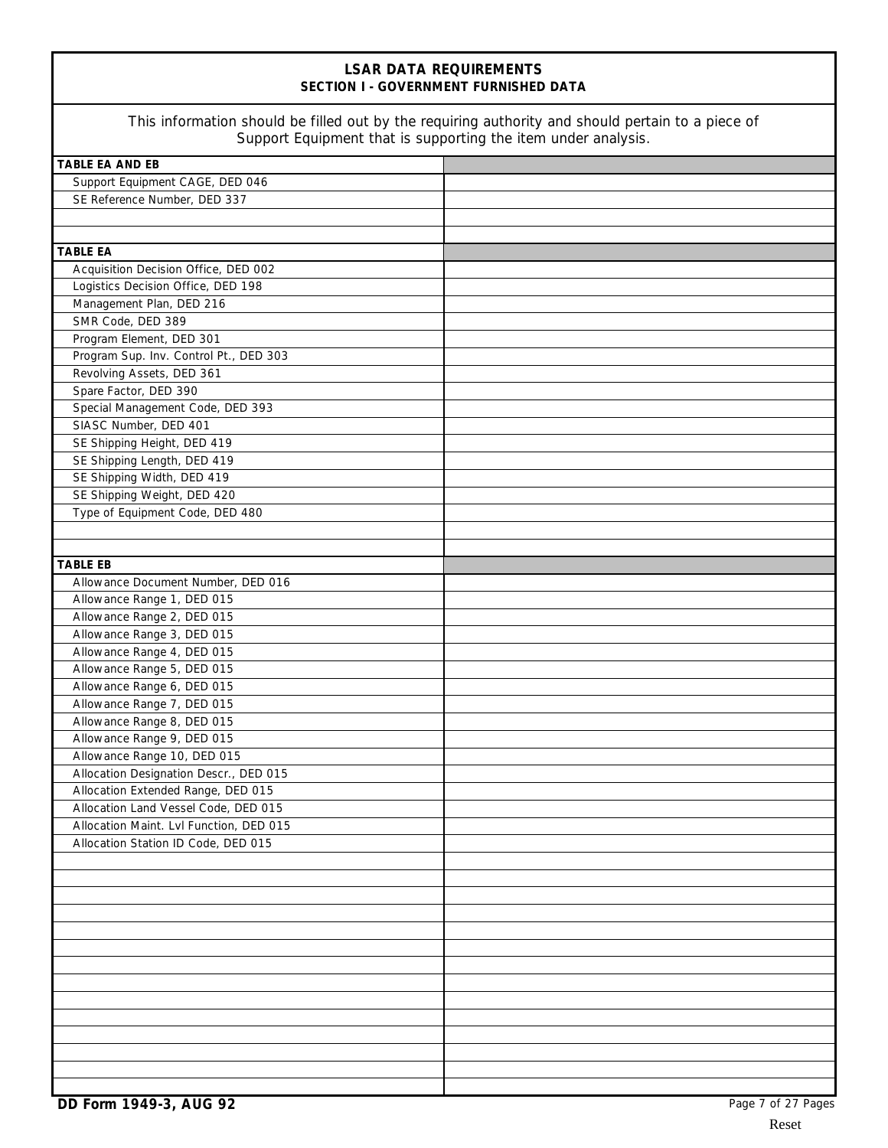# **LSAR DATA REQUIREMENTS SECTION I - GOVERNMENT FURNISHED DATA** This information should be filled out by the requiring authority and should pertain to a piece of Support Equipment that is supporting the item under analysis. **TABLE EA AND EB** Support Equipment CAGE, DED 046 SE Reference Number, DED 337 **TABLE EA** Acquisition Decision Office, DED 002 Logistics Decision Office, DED 198 Management Plan, DED 216 SMR Code, DED 389 Program Element, DED 301 Program Sup. Inv. Control Pt., DED 303 Revolving Assets, DED 361 Spare Factor, DED 390 Special Management Code, DED 393 SIASC Number, DED 401 SE Shipping Height, DED 419 SE Shipping Length, DED 419 SE Shipping Width, DED 419 SE Shipping Weight, DED 420 Type of Equipment Code, DED 480 **TABLE EB** Allowance Document Number, DED 016 Allowance Range 1, DED 015 Allowance Range 2, DED 015 Allowance Range 3, DED 015 Allowance Range 4, DED 015 Allowance Range 5, DED 015 Allowance Range 6, DED 015 Allowance Range 7, DED 015 Allowance Range 8, DED 015 Allowance Range 9, DED 015 Allowance Range 10, DED 015 Allocation Designation Descr., DED 015 Allocation Extended Range, DED 015 Allocation Land Vessel Code, DED 015 Allocation Maint. Lvl Function, DED 015 Allocation Station ID Code, DED 015